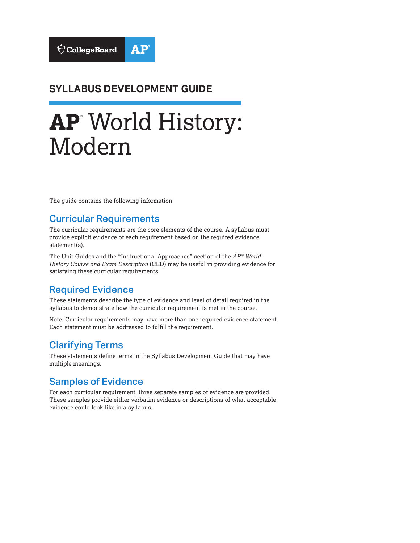### **SYLLABUS DEVELOPMENT GUIDE**

# **AP**® World History: Modern

The guide contains the following information:

#### Curricular Requirements

The curricular requirements are the core elements of the course. A syllabus must provide explicit evidence of each requirement based on the required evidence statement(s).

The Unit Guides and the "Instructional Approaches" section of the *AP® World History Course and Exam Description* (CED) may be useful in providing evidence for satisfying these curricular requirements.

#### Required Evidence

These statements describe the type of evidence and level of detail required in the syllabus to demonstrate how the curricular requirement is met in the course.

Note: Curricular requirements may have more than one required evidence statement. Each statement must be addressed to fulfill the requirement.

#### Clarifying Terms

These statements define terms in the Syllabus Development Guide that may have multiple meanings.

#### Samples of Evidence

For each curricular requirement, three separate samples of evidence are provided. These samples provide either verbatim evidence or descriptions of what acceptable evidence could look like in a syllabus.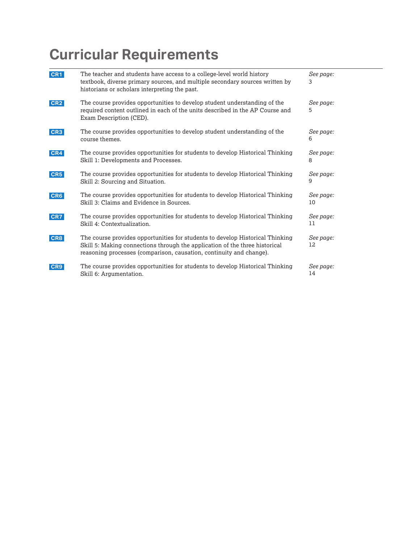| CR1             | The teacher and students have access to a college-level world history<br>textbook, diverse primary sources, and multiple secondary sources written by<br>historians or scholars interpreting the past.                              | See page:<br>3  |
|-----------------|-------------------------------------------------------------------------------------------------------------------------------------------------------------------------------------------------------------------------------------|-----------------|
| CR <sub>2</sub> | The course provides opportunities to develop student understanding of the<br>required content outlined in each of the units described in the AP Course and<br>Exam Description (CED).                                               | See page:<br>5  |
| CR <sub>3</sub> | The course provides opportunities to develop student understanding of the<br>course themes.                                                                                                                                         | See page:<br>6  |
| CR4             | The course provides opportunities for students to develop Historical Thinking<br>Skill 1: Developments and Processes.                                                                                                               | See page:<br>8  |
| CR5             | The course provides opportunities for students to develop Historical Thinking<br>Skill 2: Sourcing and Situation.                                                                                                                   | See page:<br>9  |
| CR6             | The course provides opportunities for students to develop Historical Thinking<br>Skill 3: Claims and Evidence in Sources.                                                                                                           | See page:<br>10 |
| CR7             | The course provides opportunities for students to develop Historical Thinking<br>Skill 4: Contextualization.                                                                                                                        | See page:<br>11 |
| CR8             | The course provides opportunities for students to develop Historical Thinking<br>Skill 5: Making connections through the application of the three historical<br>reasoning processes (comparison, causation, continuity and change). | See page:<br>12 |
| CR9             | The course provides opportunities for students to develop Historical Thinking<br>Skill 6: Argumentation.                                                                                                                            | See page:<br>14 |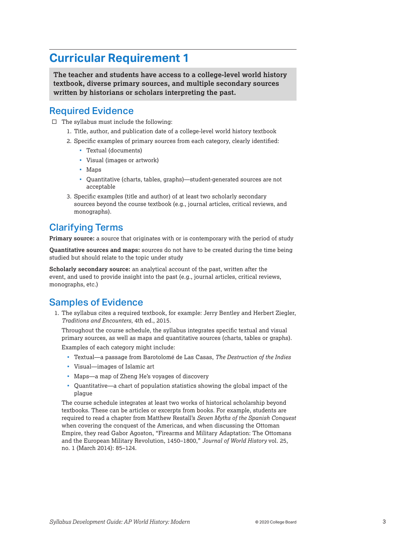<span id="page-2-0"></span>**The teacher and students have access to a college-level world history textbook, diverse primary sources, and multiple secondary sources written by historians or scholars interpreting the past.** 

#### Required Evidence

- $\Box$  The syllabus must include the following:
	- 1. Title, author, and publication date of a college-level world history textbook
	- 2. Specific examples of primary sources from each category, clearly identified:
		- Textual (documents)
		- Visual (images or artwork)
		- Maps
		- Quantitative (charts, tables, graphs)—student-generated sources are not acceptable
	- 3. Specific examples (title and author) of at least two scholarly secondary sources beyond the course textbook (e.g., journal articles, critical reviews, and monographs).

#### Clarifying Terms

**Primary source:** a source that originates with or is contemporary with the period of study

**Quantitative sources and maps:** sources do not have to be created during the time being studied but should relate to the topic under study

**Scholarly secondary source:** an analytical account of the past, written after the event, and used to provide insight into the past (e.g., journal articles, critical reviews, monographs, etc.)

#### Samples of Evidence

1. The syllabus cites a required textbook, for example: Jerry Bentley and Herbert Ziegler, *Traditions and Encounters*, 4th ed., 2015.

Throughout the course schedule, the syllabus integrates specific textual and visual primary sources, as well as maps and quantitative sources (charts, tables or graphs).

Examples of each category might include:

- Textual—a passage from Barotolomé de Las Casas, *The Destruction of the Indies*
- Visual—images of Islamic art
- Maps—a map of Zheng He's voyages of discovery
- Quantitative—a chart of population statistics showing the global impact of the plague

The course schedule integrates at least two works of historical scholarship beyond textbooks. These can be articles or excerpts from books. For example, students are required to read a chapter from Matthew Restall's *Seven Myths of the Spanish Conquest*  when covering the conquest of the Americas, and when discussing the Ottoman Empire, they read Gabor Agoston, "Firearms and Military Adaptation: The Ottomans and the European Military Revolution, 1450–1800," *Journal of World History* vol. 25, no. 1 (March 2014): 85–124.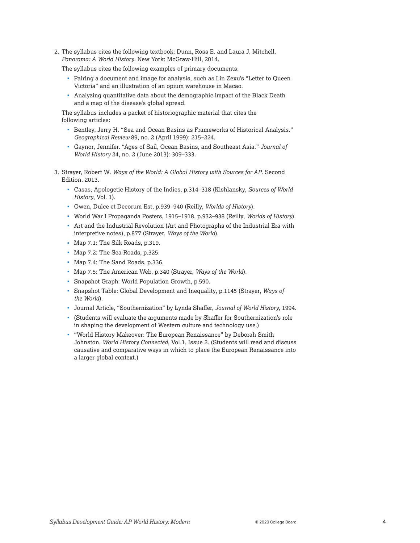2. The syllabus cites the following textbook: Dunn, Ross E. and Laura J. Mitchell. *Panorama: A World History*. New York: McGraw-Hill, 2014.

The syllabus cites the following examples of primary documents:

- Pairing a document and image for analysis, such as Lin Zexu's "Letter to Queen Victoria" and an illustration of an opium warehouse in Macao.
- Analyzing quantitative data about the demographic impact of the Black Death and a map of the disease's global spread.

The syllabus includes a packet of historiographic material that cites the following articles:

- Bentley, Jerry H. "Sea and Ocean Basins as Frameworks of Historical Analysis." *Geographical Review* 89, no. 2 (April 1999): 215–224.
- Gaynor, Jennifer. "Ages of Sail, Ocean Basins, and Southeast Asia." *Journal of World History* 24, no. 2 (June 2013): 309–333.
- 3. Strayer, Robert W. *Ways of the World: A Global History with Sources for AP*. Second Edition. 2013.
	- Casas, Apologetic History of the Indies, p.314–318 (Kishlansky, *Sources of World History*, Vol. 1).
	- Owen, Dulce et Decorum Est, p.939–940 (Reilly, *Worlds of History*).
	- World War I Propaganda Posters, 1915–1918, p.932–938 (Reilly, *Worlds of History*).
	- Art and the Industrial Revolution (Art and Photographs of the Industrial Era with interpretive notes), p.877 (Strayer, *Ways of the World*).
	- Map 7.1: The Silk Roads, p.319.
	- Map 7.2: The Sea Roads, p.325.
	- Map 7.4: The Sand Roads, p.336.
	- Map 7.5: The American Web, p.340 (Strayer, *Ways of the World*).
	- Snapshot Graph: World Population Growth, p.590.
	- Snapshot Table: Global Development and Inequality, p.1145 (Strayer, *Ways of the World*).
	- Journal Article, "Southernization" by Lynda Shaffer, *Journal of World History*, 1994.
	- (Students will evaluate the arguments made by Shaffer for Southernization's role in shaping the development of Western culture and technology use.)
	- "World History Makeover: The European Renaissance" by Deborah Smith Johnston, *World History Connected*, Vol.1, Issue 2. (Students will read and discuss causative and comparative ways in which to place the European Renaissance into a larger global context.)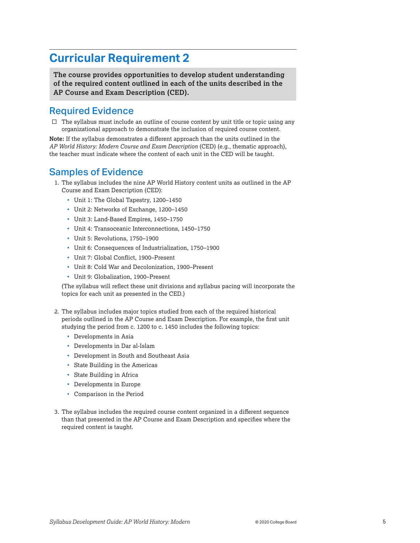<span id="page-4-0"></span>**The course provides opportunities to develop student understanding of the required content outlined in each of the units described in the AP Course and Exam Description (CED).** 

#### Required Evidence

 $\square$  The syllabus must include an outline of course content by unit title or topic using any organizational approach to demonstrate the inclusion of required course content.

**Note:** If the syllabus demonstrates a different approach than the units outlined in the *AP World History: Modern Course and Exam Description* (CED) (e.g., thematic approach), the teacher must indicate where the content of each unit in the CED will be taught.

#### Samples of Evidence

- 1. The syllabus includes the nine AP World History content units as outlined in the AP Course and Exam Description (CED):
	- Unit 1: The Global Tapestry, 1200–1450
	- Unit 2: Networks of Exchange, 1200–1450
	- Unit 3: Land-Based Empires, 1450–1750
	- Unit 4: Transoceanic Interconnections, 1450–1750
	- Unit 5: Revolutions, 1750–1900
	- Unit 6: Consequences of Industrialization, 1750–1900
	- Unit 7: Global Conflict, 1900–Present
	- Unit 8: Cold War and Decolonization, 1900–Present
	- Unit 9: Globalization, 1900–Present

(The syllabus will reflect these unit divisions and syllabus pacing will incorporate the topics for each unit as presented in the CED.)

- 2. The syllabus includes major topics studied from each of the required historical periods outlined in the AP Course and Exam Description. For example, the first unit studying the period from c. 1200 to c. 1450 includes the following topics:
	- Developments in Asia
	- Developments in Dar al-Islam
	- Development in South and Southeast Asia
	- State Building in the Americas
	- State Building in Africa
	- Developments in Europe
	- Comparison in the Period
- 3. The syllabus includes the required course content organized in a different sequence than that presented in the AP Course and Exam Description and specifies where the required content is taught.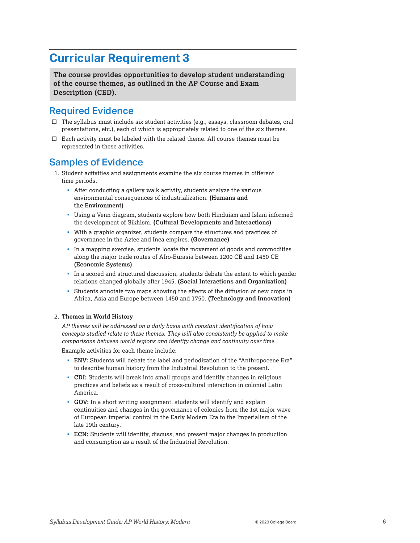<span id="page-5-0"></span>**The course provides opportunities to develop student understanding of the course themes, as outlined in the AP Course and Exam Description (CED).** 

#### Required Evidence

- $\square$  The syllabus must include six student activities (e.g., essays, classroom debates, oral presentations, etc.), each of which is appropriately related to one of the six themes.
- $\square$  Each activity must be labeled with the related theme. All course themes must be represented in these activities.

#### Samples of Evidence

- 1. Student activities and assignments examine the six course themes in different time periods.
	- After conducting a gallery walk activity, students analyze the various environmental consequences of industrialization. **(Humans and the Environment)**
	- Using a Venn diagram, students explore how both Hinduism and Islam informed the development of Sikhism. **(Cultural Developments and Interactions)**
	- With a graphic organizer, students compare the structures and practices of governance in the Aztec and Inca empires. **(Governance)**
	- In a mapping exercise, students locate the movement of goods and commodities along the major trade routes of Afro-Eurasia between 1200 CE and 1450 CE **(Economic Systems)**
	- In a scored and structured discussion, students debate the extent to which gender relations changed globally after 1945. **(Social Interactions and Organization)**
	- Students annotate two maps showing the effects of the diffusion of new crops in Africa, Asia and Europe between 1450 and 1750. **(Technology and Innovation)**

#### 2. **Themes in World History**

*AP themes will be addressed on a daily basis with constant identification of how concepts studied relate to these themes. They will also consistently be applied to make comparisons between world regions and identify change and continuity over time.*  Example activities for each theme include:

- **ENV:** Students will debate the label and periodization of the "Anthropocene Era" to describe human history from the Industrial Revolution to the present.
- **CDI:** Students will break into small groups and identify changes in religious practices and beliefs as a result of cross-cultural interaction in colonial Latin America.
- **GOV:** In a short writing assignment, students will identify and explain continuities and changes in the governance of colonies from the 1st major wave of European imperial control in the Early Modern Era to the Imperialism of the late 19th century.
- **ECN:** Students will identify, discuss, and present major changes in production and consumption as a result of the Industrial Revolution.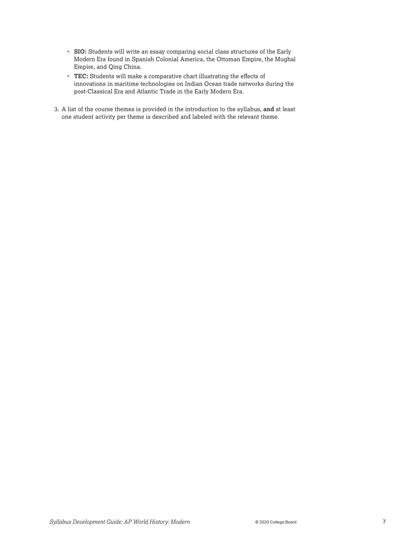- **SIO:** Students will write an essay comparing social class structures of the Early Modern Era found in Spanish Colonial America, the Ottoman Empire, the Mughal Empire, and Qing China.
- **TEC:** Students will make a comparative chart illustrating the effects of innovations in maritime technologies on Indian Ocean trade networks during the post-Classical Era and Atlantic Trade in the Early Modern Era.
- 3. A list of the course themes is provided in the introduction to the syllabus, **and** at least one student activity per theme is described and labeled with the relevant theme.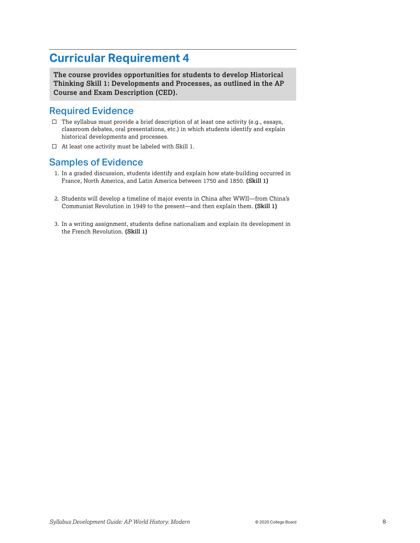<span id="page-7-0"></span>**The course provides opportunities for students to develop Historical Thinking Skill 1: Developments and Processes, as outlined in the AP Course and Exam Description (CED).** 

#### Required Evidence

- $\square$  The syllabus must provide a brief description of at least one activity (e.g., essays, classroom debates, oral presentations, etc.) in which students identify and explain historical developments and processes.
- $\Box$  At least one activity must be labeled with Skill 1.

#### Samples of Evidence

- 1. In a graded discussion, students identify and explain how state-building occurred in France, North America, and Latin America between 1750 and 1850. **(Skill 1)**
- 2. Students will develop a timeline of major events in China after WWII—from China's Communist Revolution in 1949 to the present—and then explain them. **(Skill 1)**
- 3. In a writing assignment, students define nationalism and explain its development in the French Revolution. **(Skill 1)**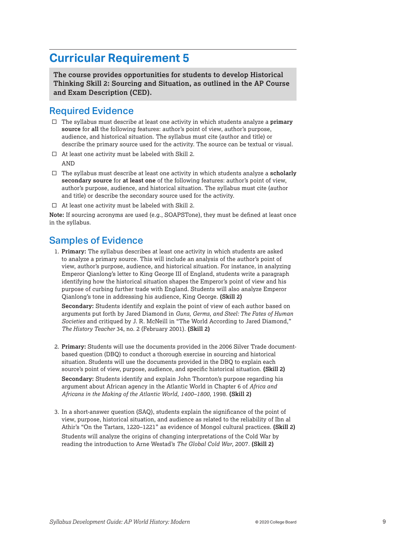<span id="page-8-0"></span>**The course provides opportunities for students to develop Historical Thinking Skill 2: Sourcing and Situation, as outlined in the AP Course and Exam Description (CED).** 

#### Required Evidence

- $\Box$  The syllabus must describe at least one activity in which students analyze a **primary source** for **all** the following features: author's point of view, author's purpose, audience, and historical situation. The syllabus must cite (author and title) or describe the primary source used for the activity. The source can be textual or visual.
- $\Box$  At least one activity must be labeled with Skill 2.

AND

- □ The syllabus must describe at least one activity in which students analyze a **scholarly secondary source** for **at least one** of the following features: author's point of view, author's purpose, audience, and historical situation. The syllabus must cite (author and title) or describe the secondary source used for the activity.
- $\Box$  At least one activity must be labeled with Skill 2.

**Note:** If sourcing acronyms are used (e.g., SOAPSTone), they must be defined at least once in the syllabus.

#### Samples of Evidence

1. **Primary:** The syllabus describes at least one activity in which students are asked to analyze a primary source. This will include an analysis of the author's point of view, author's purpose, audience, and historical situation. For instance, in analyzing Emperor Qianlong's letter to King George III of England, students write a paragraph identifying how the historical situation shapes the Emperor's point of view and his purpose of curbing further trade with England. Students will also analyze Emperor Qianlong's tone in addressing his audience, King George. **(Skill 2)** 

**Secondary:** Students identify and explain the point of view of each author based on arguments put forth by Jared Diamond in *Guns, Germs, and Steel: The Fates of Human Societies* and critiqued by J. R. McNeill in "The World According to Jared Diamond," *The History Teacher* 34, no. 2 (February 2001). **(Skill 2)** 

 2. **Primary:** Students will use the documents provided in the 2006 Silver Trade documentbased question (DBQ) to conduct a thorough exercise in sourcing and historical situation. Students will use the documents provided in the DBQ to explain each source's point of view, purpose, audience, and specific historical situation. **(Skill 2)** 

**Secondary:** Students identify and explain John Thornton's purpose regarding his argument about African agency in the Atlantic World in Chapter 6 of *Africa and Africans in the Making of the Atlantic World*, *1400–1800*, 1998. **(Skill 2)** 

3. In a short-answer question (SAQ), students explain the significance of the point of view, purpose, historical situation, and audience as related to the reliability of Ibn al Athir's "On the Tartars, 1220–1221" as evidence of Mongol cultural practices. **(Skill 2)** 

Students will analyze the origins of changing interpretations of the Cold War by reading the introduction to Arne Westad's *The Global Cold War*, 2007*.* **(Skill 2)**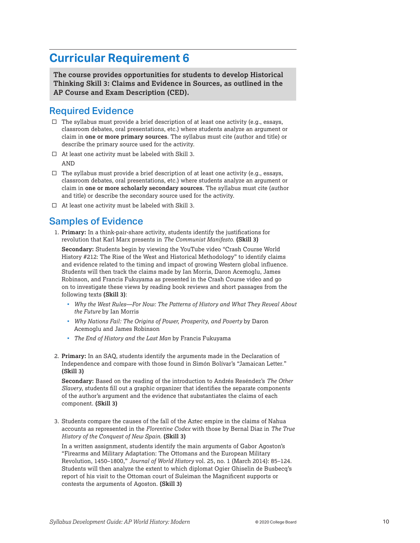<span id="page-9-0"></span>**The course provides opportunities for students to develop Historical Thinking Skill 3: Claims and Evidence in Sources, as outlined in the AP Course and Exam Description (CED).** 

#### Required Evidence

- $\Box$  The syllabus must provide a brief description of at least one activity (e.g., essays, classroom debates, oral presentations, etc.) where students analyze an argument or claim in **one or more primary sources**. The syllabus must cite (author and title) or describe the primary source used for the activity.
- $\Box$  At least one activity must be labeled with Skill 3.

AND

- $\square$  The syllabus must provide a brief description of at least one activity (e.g., essays, classroom debates, oral presentations, etc.) where students analyze an argument or claim in **one or more scholarly secondary sources**. The syllabus must cite (author and title) or describe the secondary source used for the activity.
- $\Box$  At least one activity must be labeled with Skill 3.

#### Samples of Evidence

1. **Primary:** In a think-pair-share activity, students identify the justifications for revolution that Karl Marx presents in *The Communist Manifesto*. **(Skill 3)** 

**Secondary:** Students begin by viewing the YouTube video "Crash Course World History #212: The Rise of the West and Historical Methodology" to identify claims and evidence related to the timing and impact of growing Western global influence. Students will then track the claims made by Ian Morris, Daron Acemoglu, James Robinson, and Francis Fukuyama as presented in the Crash Course video and go on to investigate these views by reading book reviews and short passages from the following texts **(Skill 3)**:

- *Why the West Rules—For Now: The Patterns of History and What They Reveal About the Future* by Ian Morris
- *Why Nations Fail: The Origins of Power, Prosperity, and Poverty* by Daron Acemoglu and James Robinson
- *The End of History and the Last Man* by Francis Fukuyama
- 2. **Primary:** In an SAQ, students identify the arguments made in the Declaration of Independence and compare with those found in Simón Bolívar's "Jamaican Letter." **(Skill 3)**

**Secondary:** Based on the reading of the introduction to Andrés Reséndez's *The Other Slavery*, students fill out a graphic organizer that identifies the separate components of the author's argument and the evidence that substantiates the claims of each component. **(Skill 3)** 

3. Students compare the causes of the fall of the Aztec empire in the claims of Nahua accounts as represented in the *Florentine Codex* with those by Bernal Diaz in *The True History of the Conquest of New Spain*. **(Skill 3)** 

In a written assignment, students identify the main arguments of Gabor Agoston's "Firearms and Military Adaptation: The Ottomans and the European Military Revolution, 1450–1800," *Journal of World History* vol. 25, no. 1 (March 2014): 85–124. Students will then analyze the extent to which diplomat Ogier Ghiselin de Busbecq's report of his visit to the Ottoman court of Suleiman the Magnificent supports or contests the arguments of Agoston. **(Skill 3)**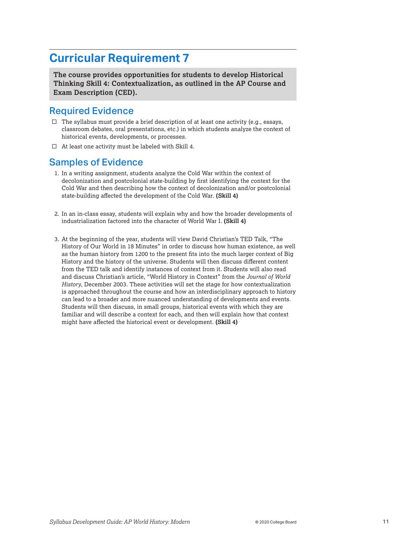<span id="page-10-0"></span>**The course provides opportunities for students to develop Historical Thinking Skill 4: Contextualization, as outlined in the AP Course and Exam Description (CED).** 

#### Required Evidence

- $\Box$  The syllabus must provide a brief description of at least one activity (e.g., essays, classroom debates, oral presentations, etc.) in which students analyze the context of historical events, developments, or processes.
- $\Box$  At least one activity must be labeled with Skill 4.

#### Samples of Evidence

- 1. In a writing assignment, students analyze the Cold War within the context of decolonization and postcolonial state-building by first identifying the context for the Cold War and then describing how the context of decolonization and/or postcolonial state-building affected the development of the Cold War. **(Skill 4)**
- 2. In an in-class essay, students will explain why and how the broader developments of industrialization factored into the character of World War I. **(Skill 4)**
- 3. At the beginning of the year, students will view David Christian's TED Talk, "The History of Our World in 18 Minutes" in order to discuss how human existence, as well as the human history from 1200 to the present fits into the much larger context of Big History and the history of the universe. Students will then discuss different content from the TED talk and identify instances of context from it. Students will also read and discuss Christian's article, "World History in Context" from the *Journal of World History*, December 2003. These activities will set the stage for how contextualization is approached throughout the course and how an interdisciplinary approach to history can lead to a broader and more nuanced understanding of developments and events. Students will then discuss, in small groups, historical events with which they are familiar and will describe a context for each, and then will explain how that context might have affected the historical event or development. **(Skill 4)**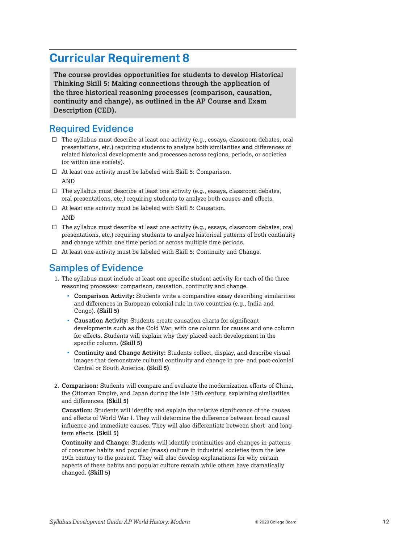<span id="page-11-0"></span>**The course provides opportunities for students to develop Historical Thinking Skill 5: Making connections through the application of the three historical reasoning processes (comparison, causation, continuity and change), as outlined in the AP Course and Exam Description (CED).** 

#### Required Evidence

- $\square$  The syllabus must describe at least one activity (e.g., essays, classroom debates, oral presentations, etc.) requiring students to analyze both similarities **and** differences of related historical developments and processes across regions, periods, or societies (or within one society).
- $\Box$  At least one activity must be labeled with Skill 5: Comparison.

AND

- $\square$  The syllabus must describe at least one activity (e.g., essays, classroom debates, oral presentations, etc.) requiring students to analyze both causes **and** effects.
- $\Box$  At least one activity must be labeled with Skill 5: Causation. **AND**
- $\square$  The syllabus must describe at least one activity (e.g., essays, classroom debates, oral presentations, etc.) requiring students to analyze historical patterns of both continuity **and** change within one time period or across multiple time periods.
- $\Box$  At least one activity must be labeled with Skill 5: Continuity and Change.

#### Samples of Evidence

- 1. The syllabus must include at least one specific student activity for each of the three reasoning processes: comparison, causation, continuity and change.
	- **Comparison Activity:** Students write a comparative essay describing similarities and differences in European colonial rule in two countries (e.g., India and Congo). **(Skill 5)**
	- **Causation Activity:** Students create causation charts for significant developments such as the Cold War, with one column for causes and one column for effects. Students will explain why they placed each development in the specific column. **(Skill 5)**
	- **Continuity and Change Activity:** Students collect, display, and describe visual images that demonstrate cultural continuity and change in pre- and post-colonial Central or South America. **(Skill 5)**
- 2. **Comparison:** Students will compare and evaluate the modernization efforts of China, the Ottoman Empire, and Japan during the late 19th century, explaining similarities and differences. **(Skill 5)**

**Causation:** Students will identify and explain the relative significance of the causes and effects of World War I. They will determine the difference between broad causal influence and immediate causes. They will also differentiate between short- and longterm effects. **(Skill 5)** 

**Continuity and Change:** Students will identify continuities and changes in patterns of consumer habits and popular (mass) culture in industrial societies from the late 19th century to the present. They will also develop explanations for why certain aspects of these habits and popular culture remain while others have dramatically changed. **(Skill 5)**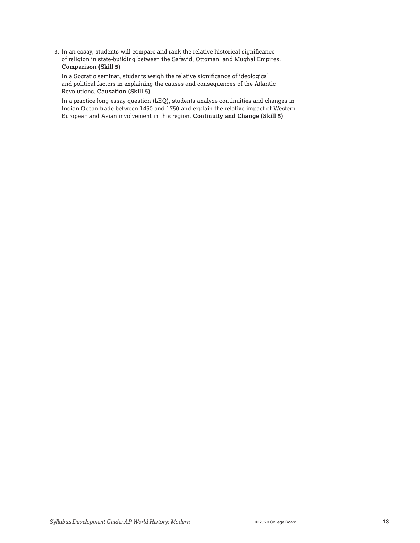3. In an essay, students will compare and rank the relative historical significance of religion in state-building between the Safavid, Ottoman, and Mughal Empires. **Comparison (Skill 5)** 

In a Socratic seminar, students weigh the relative significance of ideological and political factors in explaining the causes and consequences of the Atlantic Revolutions. **Causation (Skill 5)** 

In a practice long essay question (LEQ), students analyze continuities and changes in Indian Ocean trade between 1450 and 1750 and explain the relative impact of Western European and Asian involvement in this region. **Continuity and Change (Skill 5)**